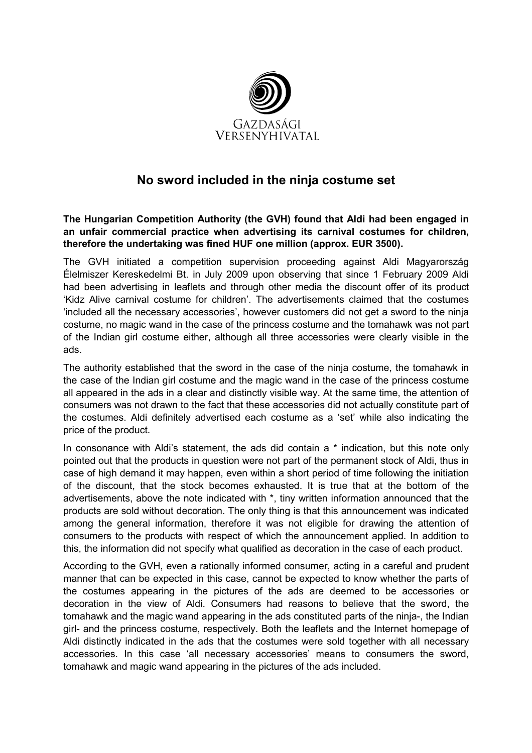

## No sword included in the ninja costume set

The Hungarian Competition Authority (the GVH) found that Aldi had been engaged in an unfair commercial practice when advertising its carnival costumes for children, therefore the undertaking was fined HUF one million (approx. EUR 3500).

The GVH initiated a competition supervision proceeding against Aldi Magyarország Élelmiszer Kereskedelmi Bt. in July 2009 upon observing that since 1 February 2009 Aldi had been advertising in leaflets and through other media the discount offer of its product 'Kidz Alive carnival costume for children'. The advertisements claimed that the costumes 'included all the necessary accessories', however customers did not get a sword to the ninja costume, no magic wand in the case of the princess costume and the tomahawk was not part of the Indian girl costume either, although all three accessories were clearly visible in the ads.

The authority established that the sword in the case of the ninja costume, the tomahawk in the case of the Indian girl costume and the magic wand in the case of the princess costume all appeared in the ads in a clear and distinctly visible way. At the same time, the attention of consumers was not drawn to the fact that these accessories did not actually constitute part of the costumes. Aldi definitely advertised each costume as a 'set' while also indicating the price of the product.

In consonance with Aldi's statement, the ads did contain a \* indication, but this note only pointed out that the products in question were not part of the permanent stock of Aldi, thus in case of high demand it may happen, even within a short period of time following the initiation of the discount, that the stock becomes exhausted. It is true that at the bottom of the advertisements, above the note indicated with \*, tiny written information announced that the products are sold without decoration. The only thing is that this announcement was indicated among the general information, therefore it was not eligible for drawing the attention of consumers to the products with respect of which the announcement applied. In addition to this, the information did not specify what qualified as decoration in the case of each product.

According to the GVH, even a rationally informed consumer, acting in a careful and prudent manner that can be expected in this case, cannot be expected to know whether the parts of the costumes appearing in the pictures of the ads are deemed to be accessories or decoration in the view of Aldi. Consumers had reasons to believe that the sword, the tomahawk and the magic wand appearing in the ads constituted parts of the ninja-, the Indian girl- and the princess costume, respectively. Both the leaflets and the Internet homepage of Aldi distinctly indicated in the ads that the costumes were sold together with all necessary accessories. In this case 'all necessary accessories' means to consumers the sword, tomahawk and magic wand appearing in the pictures of the ads included.